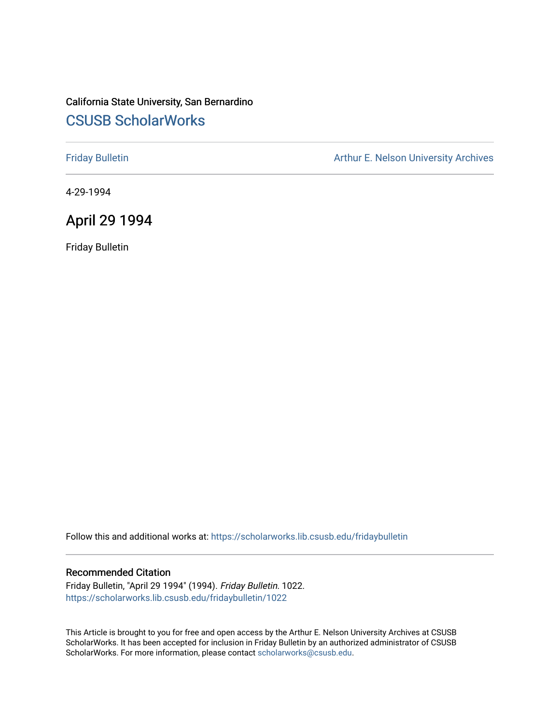## California State University, San Bernardino [CSUSB ScholarWorks](https://scholarworks.lib.csusb.edu/)

[Friday Bulletin](https://scholarworks.lib.csusb.edu/fridaybulletin) **Arthur E. Nelson University Archives** Arthur E. Nelson University Archives

4-29-1994

## April 29 1994

Friday Bulletin

Follow this and additional works at: [https://scholarworks.lib.csusb.edu/fridaybulletin](https://scholarworks.lib.csusb.edu/fridaybulletin?utm_source=scholarworks.lib.csusb.edu%2Ffridaybulletin%2F1022&utm_medium=PDF&utm_campaign=PDFCoverPages)

#### Recommended Citation

Friday Bulletin, "April 29 1994" (1994). Friday Bulletin. 1022. [https://scholarworks.lib.csusb.edu/fridaybulletin/1022](https://scholarworks.lib.csusb.edu/fridaybulletin/1022?utm_source=scholarworks.lib.csusb.edu%2Ffridaybulletin%2F1022&utm_medium=PDF&utm_campaign=PDFCoverPages) 

This Article is brought to you for free and open access by the Arthur E. Nelson University Archives at CSUSB ScholarWorks. It has been accepted for inclusion in Friday Bulletin by an authorized administrator of CSUSB ScholarWorks. For more information, please contact [scholarworks@csusb.edu.](mailto:scholarworks@csusb.edu)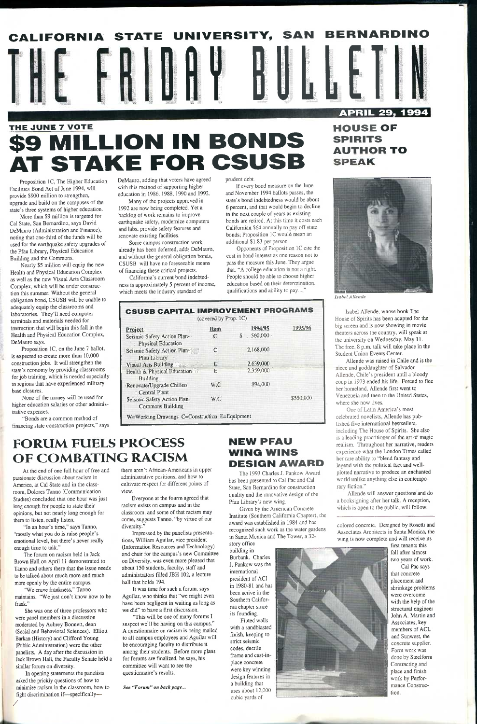## \$9 MILLION IN BONDS **T STAKE FOR CSUSB**

Proposition IC, The Higher Education Facilities Bond Act of June 1994, will provide \$900 million to strengthen, upgrade and build on the campuses of the state's three systems of higher education.

More than \$9 million is targeted for Cal State, San Bernardino, says David DeMauro (Administration and Finance), noting that one-third of the funds will be used for the earthquake safety upgrades of the Pfau Library, Physical Education Building and the Commons.

Nearly \$5 million will equip the new Health and Physical Education Complex as well as the new Visual Arts Classroom Complex, which will be under construction this summer. Without the general obligation bond, CSUSB will be unable to adequately equip the classrooms and laboratories. They'll need computer terminals and materials needed for instruction that will begin this fall in the Health and Physical Education Complex, DeMauro says.

Proposition IC, on the June 7 ballot, is expected to create more than 10,000 construction jobs. It will strengthen the state's economy by providing classrooms for job training, which is needed especially in regions that have experienced military base closures.

None of the money will be used for higher education salaries or other administrative expenses.

"Bonds are a common method of financing state construction projects," says DeMauro, adding that voters have agreed with this method of supporting higher education in 1986, 1988, 1990 and 1992.

Many of the projects approved in 1992 are now being completed. Yet a backlog of work remains to improve earthquake safety, modernize computers and labs, provide safety features and renovate existing facilities.

Some campus construction work already has been deferred, adds DeMauro, and without the general obligation bonds, CSUSB will have no foreseeable means of financing these critical projects.

California's current bond indebtedness is approximately 5 percent of income, which meets the industry standard of

#### prudent debt.

If every bond measure on the June and November 1994 ballots passes, the state's bond indebtedness would be about 6 percent, and that would begin to decline in the next couple of years as existing bonds are retired. At this time it costs each Californian \$64 annually to pay off state bonds; Proposition IC would mean an additional \$1.83 per person.

Everyone at the fourm agreed that racism exists on campus and in the classroom, and some of that racism may come, suggests Tanno, "by virtue of our diversity.'

Opponents of Proposition IC cite the cost in bond interest as one reason not to pass the measure this June. They argue that. "A college education is not a right. People should be able to choose higher education based on their determination, qualifications and ability to pay...."



**SPIRITS AUTHOR TO SPEAK** 



|                                                        | (covered by Prop. 1C) |             |           |
|--------------------------------------------------------|-----------------------|-------------|-----------|
| <b>Project</b>                                         | Item                  | 1994/95     | 1995/96   |
| Seismic Safety Action Plan-<br>: Physical Education    | C                     | \$ 560,000. |           |
| Seismic Safety Action Plan<br>Pfau Library             | C                     | 2.168,000   |           |
| Visual Arts Building                                   | E                     | 2,639,000   |           |
| Health & Physical Education<br>Building                | E                     | 2,359,000   |           |
| Renovate/Upgrade Chiller/<br>: Central Plant           | W.C                   | 894,000     |           |
| Seismic Safety Action Plan.<br><b>Commons Building</b> | W.C                   |             | \$550,000 |

## **FORUM FUELS PROCESS OF COMBATING RACISM**

At the end of one full hour of free and passionate discussion about racism in America, at Cal State and in the classroom, Dolores Tanno (Communication Studies) concluded that one hour was just long enough for people to state their opinions, but not nearly long enough for them to listen, really listen.

"In an hour's time," says Tanno, "mostly what you do is raise people's emotional level, but there's never really enough time to talk." The forum on racism held in Jack Brown Hall on April 11 demonstrated to Tanno and others there that the issue needs to be talked about much more and much more openly by the entire campus.

"We crave frankness," Tanno maintains. "We just don't know how to be frank."

She was one of three professors who were panel members in a discussion moderated by Aubrey Bonnett, dean (Social and Behavioral Sciences). Elliott Barkan (History) and Clifford Young (Public Administration) were the other panelists. A day after the discussion in Jack Brown Hall, the Faculty Senate held a similar forum on diversity.

In opening statements the panelists asked the prickly questions of how to minimize racism in the classroom, how to fight discrimination if—specifically— /

there aren't African-Americans in upper administrative positions, and how to cultivate respect for different points of view.

Impressed by the panelists presentations, William Aguilar, vice president (Information Resources and Technology) and chair for the campus's new Committee on Diversity, was even more pleased that about 150 students, faculty, staff and administrators filled JBH 102, a lecture hall that holds 194.

It was time for such a forum, says Aguilar, who thinks that "we might even have been negligent in waiting as long as we did" to have a first discussion.

"This will be one of many forums I suspect we'll be having on this campus." A questionnaire on racism is being mailed to all campus employees and Aguilar will be encouraging faculty to distribute it among their students. Before more plans for forums are finalized, he says, his committee will want to see the questionnaire's results.

*See "Forum" on back page...* 



## **NEW PFAU WING WINS DESIGN AWARD**

The 1993 Charles J. Pankow Award has been presented to Cal Pac and Cal State, San Bernardino for construction quality and the innovative design of the Pfau Library's new wing.

Given by the American Concrete Institute (Southern California Chapter), the award was established in 1984 and has recognized such work as the water gardens in Santa Monica and The Tower, a 32-

story office building in Burbank. Charles J. Pankow was the international president of ACI in 1980-81 and has been active in the Southern California chapter since its founding. Fluted walls with a sandblasted finish, keeping to strict seismic codes, ductile frame and cast-inplace concrete were key winning design features in a building that uses about 12,000 cubic yards of

*Isabel Allende* 

Isabel Allende, whose book The House of Spirits has been adapted for the big screen and is now showing in movie theaters across the country, will speak at the university on Wednesday, May 11. The free, 8 p.m. talk will take place in the Student Union Events Center.

Allende was raised in Chile and is the niece and goddaughter of Salvador Allende, Chile's president until a bloody coup in 1973 ended his life. Forced to flee her homeland, Allende first went to Venezuela and then to the United States, where she now lives.

One of Latin America's most celebrated novelists, Allende has published five international bestsellers, including The House of Spirits. She also is a leading practitioner of the art of magic realism. Throughout her narrative, readers experience what the London Times called her rare ability to "blend fantasy and legend with the political fact and wellplotted narrative to produce an enchanted world unlike anything else in contemporary fiction."

Allende will answer questions and do a booksigning after her talk. A reception, which is open to the public, will follow.

colored concrete. Designed by Rosetti and Associates Architects in Santa Monica, the wing is now complete and will receive its

> first tenants this fall after almost two years of work. Cal Pac says that concrete placement and shrinkage problems were overcome with the help of the structural engineer John A. Martin and Associates, key members of ACI, and Sunwest, the concrete supplier. Form work was done by Steelform Contracting and place and finish work by Performance Construction.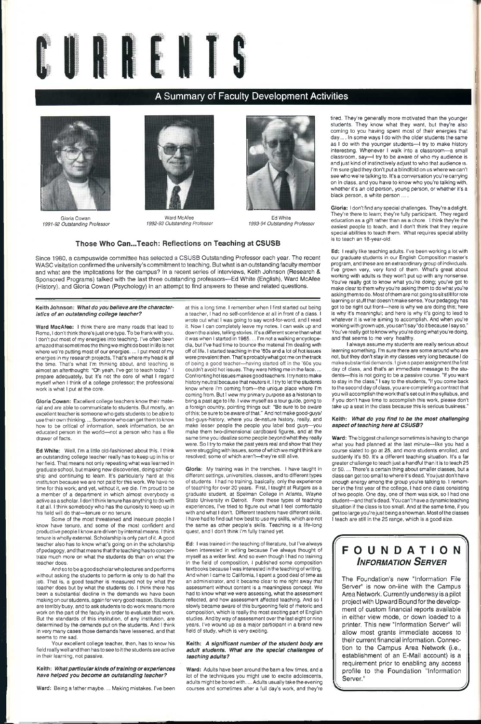

## A Summary of Faculty Development Activities



Gloria Cowan *1991-92 Outstanding Professor* 



Ward McAfee *1992-93 Outstanding Professor* 



Ed White *1993-94 Outstanding Professor* 

#### **Those Who Can...Teach: Reflections on Teaching at CSUSB**

Since 1980, a campuswide committee has selected a CSUSB Outstanding Professor each year. The recent WASG visitation confirmed the university's commitment to teaching. But what is an outstanding faculty member and what are the implications for the campus? In a recent series of interviews, Keith Johnson {Research & Sponsored Programs) talked with the last three outstanding professors—Ed White (English), Ward McAfee (History), and Gloria Cowan (Psychology) in an attempt to find answers to these and related questions.

#### **Keith Johnson:** *What do you believe are the characteristics of an outstanding college teacher?*

**Ward MacAfee:** I think there are many roads that lead to Rome, I don't think there's just one type. To be frank with you, **I** don't put most of my energies into teaching. **I**'ve often been amazed that sometimes the thing we might do best in life is not where we're putting most of our energies.... **I** put most of my energies in my research projects. That's where my head is all the time. That's what I'm thinking about, and teaching is almost an afterthought: "Oh yeah, I've got to teach today." I prepare adequately, but it's not the core of what I regard myself when I think of a college professor; the professional work is what I put at the core.

**Gloria Cowan:** Excellent college teachers know their material and are able to communicate to students. But mostly, an excellent teacher is someone who gets students to be able to use their own thinking.... Someone who can get them to know how to be critical of information, seek information, be an educated person in the world—not a person who has a file drawer of facts.

**Ed White:** Well, I'm a little old-fashioned about this. I think an outstanding college teacher really has to keep up in his or her field. That means not only repeating what was learned in graduate school, but making new discoveries, doing scholarship and continuing to learn. It's particularly hard at this institution because we are not paid for this work. We have no time for this work; and yet, without it, we die. I'm proud to be a member of a department in which almost everybody is active as a scholar. I don't think tenure has anything to do with it at all. I think somebody who has the curiosity to keep up in his field will do that—tenure or no tenure.

Some of the most threatened and insecure people I know have tenure, and some of the most confident and productive people I know are driven by internal means. 1 think tenure is wholly external. Scholarship is only part of it. A good teacher also has to know what's going on in the scholarship of pedagogy, and that means that the teaching has to concentrate much more on what the students do than on what the teacher does. And so to be a good scholar who lectures and performs without asking the students to perform is only to do half the job. That is, a good teacher is measured not by what the teacher does but by what the students do. I think there has been a substantial decline in the demands we have been making on our students, again for very good reason. Students are terribly busy, and to ask students to do work means more work on the part of the faculty in order to evaluate that work. But the standards of this institution, of any institution, are determined by the demands put on the students. And **I** think in very many cases those demands have lessened, and that seems to me sad.

tired. They're generally more motivated than the younger students. They know what they want, but they're also coming to you having spent most of their energies that day.... In some ways I do with the older students the same as I do with the younger students—I try to make history interesting. Whenever I walk into a classroom—a small classroom, say—I try to be aware of who my audience is and just kind of instinctively adjust to who that audience is. **I**'m sure glad they don't put a blindfold on us where we can't see who we're talking to. It's a conversation you're carrying on in class, and you have to know who you're talking with, whether it's an old person, young person, or whether it's a black person, a white person ... .

Your excellent college teacher, then, has to know his field really well and then has to see to it the students are active in their learning, not passive.

#### **Keith:** *What particular kinds of training or experiences have helped you become an outstanding teacher?*

**Ward:** Being a father maybe.... Making mistakes. I've been

at this a long time. I remember when I first started out being a teacher, **I** had no self-confidence at all in front of a class. I wrote out what **I** was going to say word-for-word, and I read it. Now I can completely leave my notes. I can walk up and down the aisles, telling stories. It's adifferent scene than what it was when **I** started in 1965.... I'm not a walking encyclopedia, but I've had time to bounce the material I'm dealing with off of life. I started teaching in the '60s and a lot of hot issues were prevalent then. That's probably what got me on the track of being a good teacher—having started off in the '60s you couldn't avoid hot issues. They were hitting me in the face.... Confronting hot issues makes good teachers. I try not to make history neutral because that neuters it. I try to let the students know where I'm coming from—the unique place where I'm coming from. But I view my primary purpose as a historian to bring a past age to life. I view myself as a tour guide, going to a foreign country, pointing things out: "Be sure to be aware of this; be sure to be aware of that." And not make good-guys/ bad-guys-history, where you de-nature history, really, and make lesser people the people you label bad guys—you make them two-dimensional cardboard figures, and at the same time you idealize some people beyond what they really were. So I try to make the past years real and show that they were struggling with issues, some of which we might think are resolved; some of which aren't—they're still alive.

**Ward:** The biggest challenge sometimes is having to change what you had planned at the last minute—like you had a course slated to go at 25, and more students enrolled, and suddenly it's 50. It's a different teaching situation. It's a far greater challenge to teach just a handful than it is to teach 25 or 50.... There's a certain thing about smaller classes, but a class can get too small to where it's dead. You just don't have enough energy among the group you're talking to. I remember in the first year of the college, I had one class consisting of two people. One day, one of them was sick, so I had one student—and that's dead. You can't have a dynamic teaching situation if the class is too small. And at the same time, if you get too large you're just being a showman. Most of the classes **I** teach are still in the 25 range, which is a good size. **I**situation if the class is too small. And at the same time, if you<br> **I** detach are still in the 25 range, which is a good size.



**Gloria:** My training was in the trenches. I have taught in different settings, universities, classes, and to different types of students. I had no training, basically, only the experience of teaching for over 20 years. First, I taught at Rutgers as a graduate student, at Spelman College in Atlanta, Wayne State University in Detroit. From these types of teaching experiences, I've tried to figure out what I feel comfortable with and what I don't. Different teachers have different skills. **I** have had to find out how best to use my skills, which are not the same as other people's skills. Teaching is a life-long quest, and **I** don't think **I**'m fully trained yet.

**Ed:** I was trained in the teaching of literature, but I've always been interested in writing because I've always thought of myself as a writer first. And so even though 1 had no training in the field of composition, I published some composition textbooks because **I** was interested in the teaching of writing. And when **I** came to California, I spent a good deal of time as an administrator, and it became clear to me right away that assessment without content is a meaningless concept. We had to know what we were assessing, what the assessment reflected, and how assessment affected teaching. And so I slowly became aware of this burgeoning field of rhetoric and composition, which is really the most exciting part of English studies. And by way of assessment over the last eight or nine years, I've wound up as a major participant in a brand new field of study, which is very exciting.

**Keith:** *A significant number of the student body are adult students. What are the special challenges of teaching adults?* 

**Ward:** Adults have been around the barn a few times, and a lot of the techniques you might use to excite adolescents, adults might be bored with.... Adults usually take the evening courses and sometimes after a full day's work, and they're

# **INFORMATION SERVER**

**Gloria: I** don't find any special challenges. They're a delight. They're there to learn; they're fully participant. They regard education as a gift rather than as a chore. I think they're the easiest people to teach, and I don't think that they require special abilities to teach them. What requires special ability is to teach an 18-year-old.

**Ed:** I really like teaching adults. I've been working a lot with our graduate students in our English Composition master's program, and these are an extraordinary group of individuals. I've grown very, very fond of them. What's great about working with adults is they won't put up with any nonsense. You've really got to know what you're doing; you've got to make clear to them why you're asking them to do what you're asking them to do. Most of them are not going to sit still for rote learning or stuff that doesn't make sense. Your pedagogy has got to be right out front—here is why we are doing this; here is why it's meaningful; and here is why it's going to lead to whatever it is we're aiming to accomplish. And when you're working with grown ups, you can't say "do it because I say so." You've really got to know why you're doing what you're doing, and that seems to me very healthy.

I always assume my students are really serious about learning something. I'm sure there are some around who are not, but they don't stay in my classes very long because *I* do makesubstantial demands. I give a paper assignment the first day of class, and that's an immediate message to the students—this is not going to be a passive course. "If you want to stay in the class," I say to the students, "if you come back to the second day of class, you are completing a contract that you will accomplish the work that's set out in the syllabus, and if you don't have time to accomplish this work, please don't take up a seat in the class because this is serious business."

#### **Keith:** *What do you find to be the most challenging aspect of teaching here at CSUSB?*

The Foundation's new "Information File Server" is now on-line with the Campus Area Network. Currently underway is a pilot project with Upward Bound for the development of custom financial reports available in either view mode, or down loaded to a printer. This new "Information Server" will allow most grants immediate access to their current financial information. Connection to the Campus Area Network (i.e., establishment of an E-Mail account) is a requirement prior to enabling any access profile to the Foundation "Information Server." *J*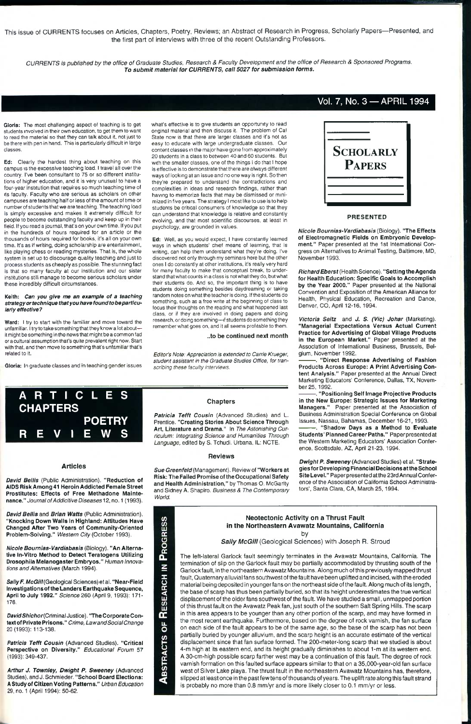This issue of CURRENTS focuses on Articles, Chapters, Poetry, Reviews; an Abstract of Research in Progress, Scholarly Papers—Presented, and the first part of interviews with three of the recent Outstanding Professors.

CURRENTS is published by the office of Graduate Studies, Research & Faculty Development and the office of Research & Sponsored Programs. *To submit material for CURRENTS, call 5027 for submission forms.* 

## Vol.7, No. 3 —APRIL 1994

**Gloria:** The most challenging aspect of teaching is to get students involved in their own education, to get them to want to read the material so that they can talk about it, not just to be there with pen in hand. This is particularly difficult in large classes.

**Ed:** Clearly the hardest thing about teaching on this campus is the excessive teaching load. I travel all over the country. I've been consultant to 75 or so different institutions of higher education, and it is very unusual to have a four-year institution that requires so much teaching time of its faculty. Faculty who are serious as scholars on other campuses are teaching half or less of the amount of time or number of students that we are teaching. The teaching load is simply excessive and makes it extremely difficult for people to become outstanding faculty and keep up in their field. If you read a journal, that's on your own time. If you put in the hundreds of hours required for an article or the thousands of hours required for books, it's all on your own time. It's as if writing, doing scholarship are entertainment, like playing chess or reading mysteries. That is, the whole system is set up to discourage quality teaching and just to process students as cheaply as possible. The stunning fact is that so many faculty at our institution and our sister institutions still manage to become serious scholars under these incredibly difficult circumstances.

*Arthur J. Townley, Dwight P. Sweeney* (Advanced Studies), and J. Schmieder. **"School Board Elections: A Study of Citizen Voting Patterns."** *Urban Education*  29, no. 1 (April 1994): 50-62.

#### *Sally McGill* (Geological Sciences) with Joseph R. Stroud

#### **Keith:** *Can you give me an example of a teaching strategy or technique that you have found to be particularly effective?*

**Ward:** I try to start with the familiar and move toward the unfamiliar. I try to take something that they know a lot about it might be something in the news that might be a common fad or a cultural assumption that's quite prevalent right now. Start with that, and then move to something that's unfamiliar that's related to it.

**Gtoria:** In graduate classes and in teaching gender issues

## ARTICLES **CHAPTERS POETRY**  REVIEWS

#### **Articles**

*David Bellis* (Public Administration). **"Reduction of AIDS Risk Among 41 Heroin Addicted Female Street Prostitutes: Effects of Free Methadone Malnte***nance." Journal of Addicitive Diseases^2,* no. 1 (1993).

*David Bellis* and *Brian Watts* (Public Administration). **"Knocking Down Walls In Highland: Attitudes Have Changed After Two Years of Communlty-Orlented Problem-Solving."** *Western City {October* **1993).** 

*Nicole Bournias-Vardiabasis* (Biology). **"An Alternative In-Vitro Method to Detect Teratogens Utilizing Drosophlla Melanogaster Embryos."** *Human Innovations and Altematives* (March 1994).

*SallyF. McGill{Geo\og\ca\* Sciences) etal. **"Near-Field Investigatlonsof the Landers Earthquake Sequence, April to July 1992."** Sc/ence 260 (April **9, 1993): 171-** 176.

*DavidShichor{Cnm'mal* Justice). **"The Corporate Context of Private Prisons."** *Crime, Lawand Social Change*  20 (1993): 113-138.

*Patricia Tefft Cousin* (Advanced Studies). **"Critical Perspective on Diversity."** *Educational Forum* 57 (1993): 349-437.

what's effective is to give students an opportunity to read original material and then discuss it. The problem of Gal State now is that there are larger classes and it's not as easy to educate with large undergraduate classes. Our content classes in the major have gone from approximately 20 students in a class to between 40 and 60 students. But with the smaller classes, one of the things 1 do that I hope is effective is to demonstrate that there are always different ways of looking at an issue and no one way is right. So then they're prepared to understand the contradictions and compiexities in ideas and research findings, rather than having to memorize facts that may be dismissed or minimized in five years. The strategy I most like to use is to heip students be critical consumers of knowledge so that they can understand that knowledge is reiative and constantly evolving, and that most scientific discourses, at least in psychology, are grounded in values.

**Ed:** Well, as you would expect, I have constantly learned ways in which students' chief means of learning, that is writing, can help them understand what they're doing. I've discovered not only through my seminars here but the other ones I do constantly at other institutions, it's really very hard for many faculty to make that conceptual break, to understand that what counts in a class is not what they do, but what their students do. And so, the important thing is to have students doing something besides daydreaming or taking random notes on what the teacher is doing. If the students do something, such as a free write at the beginning of ciass to focus their thoughts on the reading and what happened last class, or if they are involved in doing papers and doing research, or doing something—if students do something they remember what goes on, and it ali seems profitable to them.

**..to be continued next month** 

*Editor's Note: Appreciation is extended to Carrie Krueger, student assistant in the Graduate Studies Office, for transcribing these faculty interviews.* 

#### **Chapters**

*Patricia Tefft Cousin* (Advanced Studies) and L. Prentice. **"Creating Stories About Science Through Art, Literature and Drama."** In *The Astonishing Curriculum: Integrating Science and Humanities Through Language,* edited by S. Tchudi. Urbana, IL: NOTE.

#### **Reviews**

*Sue Greenfeld{Mar\agerr\er\\).* Review of **"Workers at Risk: The Failed Promise of the Occupational Safety and Health Administration,"** by Thomas O. McGarity and Sidney A. Shapiro. *Business & The Contemporary World.* 



 $\geq$ 

RESEARCH

ð

**ABSTRACTS** 



**PRESENTED** 

*Nicole Bournias-Vardiabasis* (Biology). **"The Effects of Electromagnetic Fields on Embryonic Development."** Paper presented at the 1st International Congress on Alternatives to Animal Testing, Baltimore, MD, November 1993.

*RichardEberst* (Health Science). **"Setting the Agenda for Health Education: Specific Goals to Accomplish by the Year 2000."** Paper presented at the National Convention and Exposition of the American Alliance for Health, Physical Education, Recreation and Dance, Denver, CO, April 12-16, 1994.

*Victoria Seitz* and *J. S. (Vic) Johar* (Marketing). **"Managerial Expectations Versus Actual Current Practice for Advertising of Global Village Products in the European Market."** Paper presented at the Association of International Business, Brussels, Belgium, November 1992.

**. "Direct Response Advertising of Fashion Products Across Europe: A Print Advertising Content Analysis."** Paper presented at the Annual Direct Marketing Educators' Conference, Dallas, TX, November 25, 1992.

**. "Positioning Self Image Projective Products in the New Europe: Strategic Issues for Marketing Managers."** Paper presented at the Association of Business Administration Special Conference on Global Issues, Nassau, Bahamas, December 16-21,1993.

**. "Shadow Days as a Method to Evaluate Students' Planned Career Paths."** Paper presented at the Western Marketing Educators' Association Conference, Scottsdale, AZ, April 21-23, 1994.

*Dwight P. Sweeney* (Advanced Studies) et al. **"Strategies for Developing Financial Decisions at the School Site Level."** Paper presented atthe 23rd Annual Conference of the Association of California School Administrators', Santa Clara, CA, March 25,1994.

**Neotectonlc Activity on a Thrust Fault in the Northeastern Avawatz Mountains, California**  by

The left-lateral Garlock fault seemingly terminates in the Avawatz Mountains, California. The termination of slip on the Garlock fault may be partially accommodated by thrusting south of the Garlock fault, in the northeastern Avawatz Mountains. Along much of this previously mapped thrust fault, Quaternary alluvial fans southwest of the fault have been uplifted and incised, with the eroded material being deposited in younger fans on the northeast side of the fault. Along much of its length, the base of scarp has thus been partially buried, so that Its height underestimates the true vertical displacement of the older fans southwest of the fault. We have studied a small, unmapped portion of this thrust fault on the Avawatz Peak fan, just south of the southern Salt Spring Hills. The scarp in this area appears to be younger than any other portion of the scarp, and may have formed in the most recent earthquake. Furthermore, based on the degree of rock varnish, the fan surface on each side of the fault appears to be of the same age, so the base of the scarp has not been partially buried by younger alluvium, and the scarp height is an accurate estimate of the vertical displacement since that fan surface formed. The 200-meter-long scarp that we studied is about 4-m high at its eastern end, and its height gradually diminishes to about 1-m at its western end. A 30-cm-high possible scarp farther west may be a continuation of this fault. The degree of rock varnish formation on this faulted surface appears similar to that on a 35,000-year-old fan surface west of Silver Lake playa. The thrust fault in the northeastern Avawatz Mountains has, therefore, slipped at least once in the past few tens of thousands of years. The uplift rate along this fault strand is probably no more than 0.8 mm/yr and is more likely closer to 0.1 mm/yr or less.